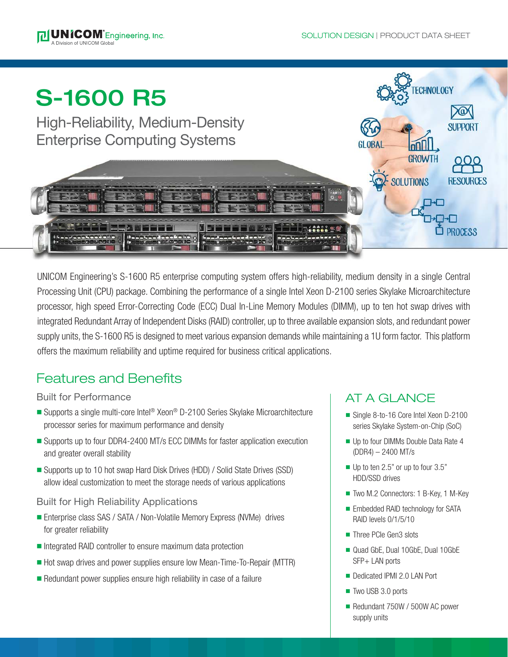

UNICOM Engineering's S-1600 R5 enterprise computing system offers high-reliability, medium density in a single Central Processing Unit (CPU) package. Combining the performance of a single Intel Xeon D-2100 series Skylake Microarchitecture processor, high speed Error-Correcting Code (ECC) Dual In-Line Memory Modules (DIMM), up to ten hot swap drives with integrated Redundant Array of Independent Disks (RAID) controller, up to three available expansion slots, and redundant power supply units, the S-1600 R5 is designed to meet various expansion demands while maintaining a 1U form factor. This platform offers the maximum reliability and uptime required for business critical applications.

# Features and Benefits

## Built for Performance

- Supports a single multi-core Intel<sup>®</sup> Xeon<sup>®</sup> D-2100 Series Skylake Microarchitecture processor series for maximum performance and density
- Supports up to four DDR4-2400 MT/s ECC DIMMs for faster application execution and greater overall stability
- Supports up to 10 hot swap Hard Disk Drives (HDD) / Solid State Drives (SSD) allow ideal customization to meet the storage needs of various applications

## Built for High Reliability Applications

- Enterprise class SAS / SATA / Non-Volatile Memory Express (NVMe) drives for greater reliability
- Integrated RAID controller to ensure maximum data protection
- Hot swap drives and power supplies ensure low Mean-Time-To-Repair (MTTR)
- $\blacksquare$  Redundant power supplies ensure high reliability in case of a failure

## AT A GLANCE

- Single 8-to-16 Core Intel Xeon D-2100 series Skylake System-on-Chip (SoC)
- **u** Up to four DIMMs Double Data Rate 4 (DDR4) – 2400 MT/s
- $\blacksquare$  Up to ten 2.5" or up to four 3.5" HDD/SSD drives
- Two M.2 Connectors: 1 B-Key, 1 M-Key
- Embedded RAID technology for SATA RAID levels 0/1/5/10
- Three PCIe Gen3 slots
- n Quad GbE, Dual 10GbE, Dual 10GbE SFP+ LAN ports
- Dedicated IPMI 2.0 LAN Port
- Two USB 3.0 ports
- Redundant 750W / 500W AC power supply units